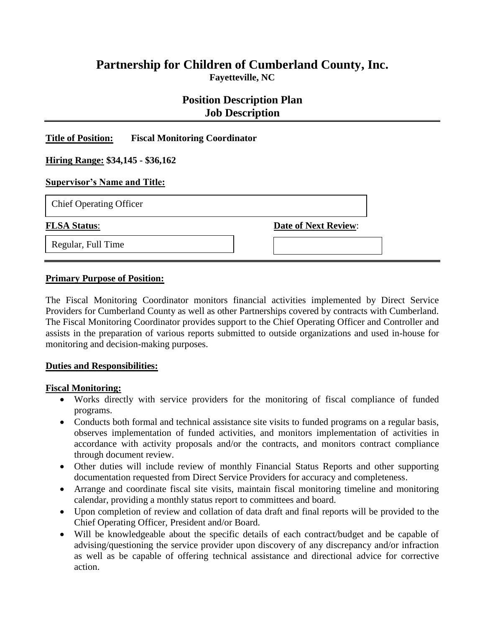# **Partnership for Children of Cumberland County, Inc. Fayetteville, NC**

# **Position Description Plan Job Description**

### **Title of Position: Fiscal Monitoring Coordinator**

#### **Hiring Range: \$34,145 - \$36,162**

#### **Supervisor's Name and Title:**

#### **FLSA Status: Date of Next Review:**

Regular, Full Time

#### **Primary Purpose of Position:**

The Fiscal Monitoring Coordinator monitors financial activities implemented by Direct Service Providers for Cumberland County as well as other Partnerships covered by contracts with Cumberland. The Fiscal Monitoring Coordinator provides support to the Chief Operating Officer and Controller and assists in the preparation of various reports submitted to outside organizations and used in-house for monitoring and decision-making purposes.

#### **Duties and Responsibilities:**

#### **Fiscal Monitoring:**

- Works directly with service providers for the monitoring of fiscal compliance of funded programs.
- Conducts both formal and technical assistance site visits to funded programs on a regular basis, observes implementation of funded activities, and monitors implementation of activities in accordance with activity proposals and/or the contracts, and monitors contract compliance through document review.
- Other duties will include review of monthly Financial Status Reports and other supporting documentation requested from Direct Service Providers for accuracy and completeness.
- Arrange and coordinate fiscal site visits, maintain fiscal monitoring timeline and monitoring calendar, providing a monthly status report to committees and board.
- Upon completion of review and collation of data draft and final reports will be provided to the Chief Operating Officer, President and/or Board.
- Will be knowledgeable about the specific details of each contract/budget and be capable of advising/questioning the service provider upon discovery of any discrepancy and/or infraction as well as be capable of offering technical assistance and directional advice for corrective action.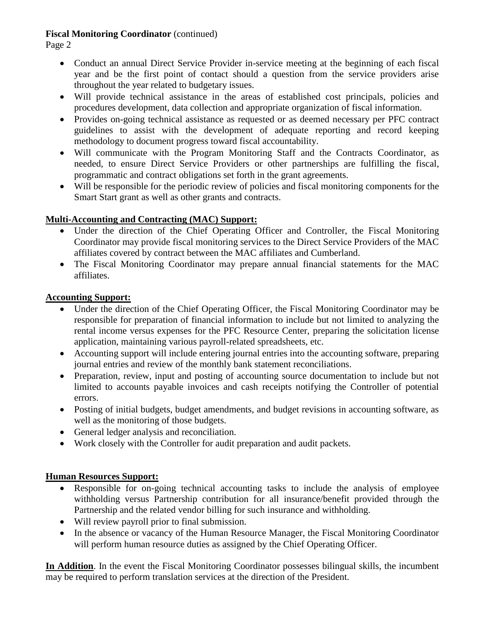Page 2

- Conduct an annual Direct Service Provider in-service meeting at the beginning of each fiscal year and be the first point of contact should a question from the service providers arise throughout the year related to budgetary issues.
- Will provide technical assistance in the areas of established cost principals, policies and procedures development, data collection and appropriate organization of fiscal information.
- Provides on-going technical assistance as requested or as deemed necessary per PFC contract guidelines to assist with the development of adequate reporting and record keeping methodology to document progress toward fiscal accountability.
- Will communicate with the Program Monitoring Staff and the Contracts Coordinator, as needed, to ensure Direct Service Providers or other partnerships are fulfilling the fiscal, programmatic and contract obligations set forth in the grant agreements.
- Will be responsible for the periodic review of policies and fiscal monitoring components for the Smart Start grant as well as other grants and contracts.

# **Multi-Accounting and Contracting (MAC) Support:**

- Under the direction of the Chief Operating Officer and Controller, the Fiscal Monitoring Coordinator may provide fiscal monitoring services to the Direct Service Providers of the MAC affiliates covered by contract between the MAC affiliates and Cumberland.
- The Fiscal Monitoring Coordinator may prepare annual financial statements for the MAC affiliates.

### **Accounting Support:**

- Under the direction of the Chief Operating Officer, the Fiscal Monitoring Coordinator may be responsible for preparation of financial information to include but not limited to analyzing the rental income versus expenses for the PFC Resource Center, preparing the solicitation license application, maintaining various payroll-related spreadsheets, etc.
- Accounting support will include entering journal entries into the accounting software, preparing journal entries and review of the monthly bank statement reconciliations.
- Preparation, review, input and posting of accounting source documentation to include but not limited to accounts payable invoices and cash receipts notifying the Controller of potential errors.
- Posting of initial budgets, budget amendments, and budget revisions in accounting software, as well as the monitoring of those budgets.
- General ledger analysis and reconciliation.
- Work closely with the Controller for audit preparation and audit packets.

# **Human Resources Support:**

- Responsible for on-going technical accounting tasks to include the analysis of employee withholding versus Partnership contribution for all insurance/benefit provided through the Partnership and the related vendor billing for such insurance and withholding.
- Will review payroll prior to final submission.
- In the absence or vacancy of the Human Resource Manager, the Fiscal Monitoring Coordinator will perform human resource duties as assigned by the Chief Operating Officer.

**In Addition**. In the event the Fiscal Monitoring Coordinator possesses bilingual skills, the incumbent may be required to perform translation services at the direction of the President.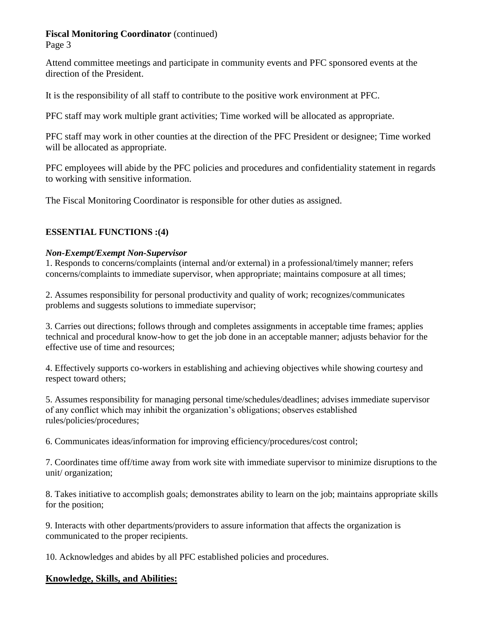Page 3

Attend committee meetings and participate in community events and PFC sponsored events at the direction of the President.

It is the responsibility of all staff to contribute to the positive work environment at PFC.

PFC staff may work multiple grant activities; Time worked will be allocated as appropriate.

PFC staff may work in other counties at the direction of the PFC President or designee; Time worked will be allocated as appropriate.

PFC employees will abide by the PFC policies and procedures and confidentiality statement in regards to working with sensitive information.

The Fiscal Monitoring Coordinator is responsible for other duties as assigned.

### **ESSENTIAL FUNCTIONS :(4)**

### *Non-Exempt/Exempt Non-Supervisor*

1. Responds to concerns/complaints (internal and/or external) in a professional/timely manner; refers concerns/complaints to immediate supervisor, when appropriate; maintains composure at all times;

2. Assumes responsibility for personal productivity and quality of work; recognizes/communicates problems and suggests solutions to immediate supervisor;

3. Carries out directions; follows through and completes assignments in acceptable time frames; applies technical and procedural know-how to get the job done in an acceptable manner; adjusts behavior for the effective use of time and resources;

4. Effectively supports co-workers in establishing and achieving objectives while showing courtesy and respect toward others;

5. Assumes responsibility for managing personal time/schedules/deadlines; advises immediate supervisor of any conflict which may inhibit the organization's obligations; observes established rules/policies/procedures;

6. Communicates ideas/information for improving efficiency/procedures/cost control;

7. Coordinates time off/time away from work site with immediate supervisor to minimize disruptions to the unit/ organization;

8. Takes initiative to accomplish goals; demonstrates ability to learn on the job; maintains appropriate skills for the position;

9. Interacts with other departments/providers to assure information that affects the organization is communicated to the proper recipients.

10. Acknowledges and abides by all PFC established policies and procedures.

### **Knowledge, Skills, and Abilities:**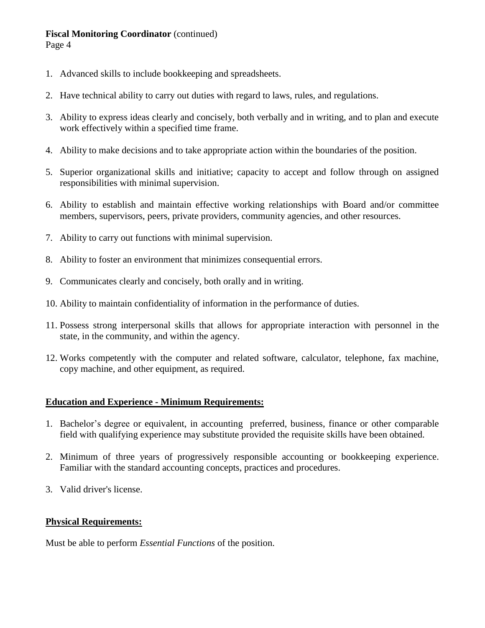- 1. Advanced skills to include bookkeeping and spreadsheets.
- 2. Have technical ability to carry out duties with regard to laws, rules, and regulations.
- 3. Ability to express ideas clearly and concisely, both verbally and in writing, and to plan and execute work effectively within a specified time frame.
- 4. Ability to make decisions and to take appropriate action within the boundaries of the position.
- 5. Superior organizational skills and initiative; capacity to accept and follow through on assigned responsibilities with minimal supervision.
- 6. Ability to establish and maintain effective working relationships with Board and/or committee members, supervisors, peers, private providers, community agencies, and other resources.
- 7. Ability to carry out functions with minimal supervision.
- 8. Ability to foster an environment that minimizes consequential errors.
- 9. Communicates clearly and concisely, both orally and in writing.
- 10. Ability to maintain confidentiality of information in the performance of duties.
- 11. Possess strong interpersonal skills that allows for appropriate interaction with personnel in the state, in the community, and within the agency.
- 12. Works competently with the computer and related software, calculator, telephone, fax machine, copy machine, and other equipment, as required.

### **Education and Experience - Minimum Requirements:**

- 1. Bachelor's degree or equivalent, in accounting preferred, business, finance or other comparable field with qualifying experience may substitute provided the requisite skills have been obtained.
- 2. Minimum of three years of progressively responsible accounting or bookkeeping experience. Familiar with the standard accounting concepts, practices and procedures.
- 3. Valid driver's license.

### **Physical Requirements:**

Must be able to perform *Essential Functions* of the position.